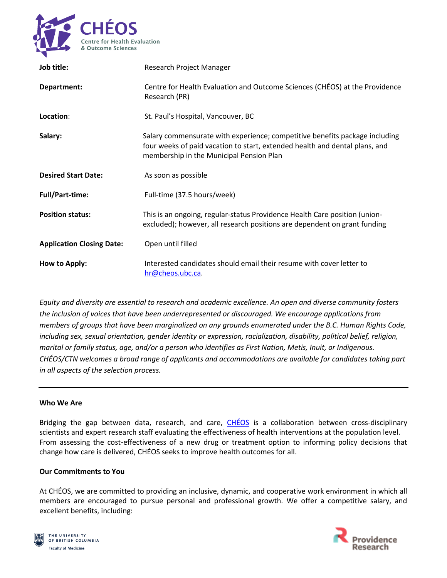

| Job title:                       | Research Project Manager                                                                                                                                                                               |
|----------------------------------|--------------------------------------------------------------------------------------------------------------------------------------------------------------------------------------------------------|
| Department:                      | Centre for Health Evaluation and Outcome Sciences (CHÉOS) at the Providence<br>Research (PR)                                                                                                           |
| Location:                        | St. Paul's Hospital, Vancouver, BC                                                                                                                                                                     |
| Salary:                          | Salary commensurate with experience; competitive benefits package including<br>four weeks of paid vacation to start, extended health and dental plans, and<br>membership in the Municipal Pension Plan |
| <b>Desired Start Date:</b>       | As soon as possible                                                                                                                                                                                    |
| <b>Full/Part-time:</b>           | Full-time (37.5 hours/week)                                                                                                                                                                            |
| <b>Position status:</b>          | This is an ongoing, regular-status Providence Health Care position (union-<br>excluded); however, all research positions are dependent on grant funding                                                |
| <b>Application Closing Date:</b> | Open until filled                                                                                                                                                                                      |
| How to Apply:                    | Interested candidates should email their resume with cover letter to<br>hr@cheos.ubc.ca.                                                                                                               |

*Equity and diversity are essential to research and academic excellence. An open and diverse community fosters the inclusion of voices that have been underrepresented or discouraged. We encourage applications from members of groups that have been marginalized on any grounds enumerated under the B.C. Human Rights Code, including sex, sexual orientation, gender identity or expression, racialization, disability, political belief, religion, marital or family status, age, and/or a person who identifies as First Nation, Metis, Inuit, or Indigenous. CHÉOS/CTN welcomes a broad range of applicants and accommodations are available for candidates taking part in all aspects of the selection process.*

### **Who We Are**

Bridging the gap between data, research, and care, [CHÉOS](https://www.cheos.ubc.ca/) is a collaboration between cross-disciplinary scientists and expert research staff evaluating the effectiveness of health interventions at the population level. From assessing the cost-effectiveness of a new drug or treatment option to informing policy decisions that change how care is delivered, CHÉOS seeks to improve health outcomes for all.

### **Our Commitments to You**

At CHÉOS, we are committed to providing an inclusive, dynamic, and cooperative work environment in which all members are encouraged to pursue personal and professional growth. We offer a competitive salary, and excellent benefits, including:



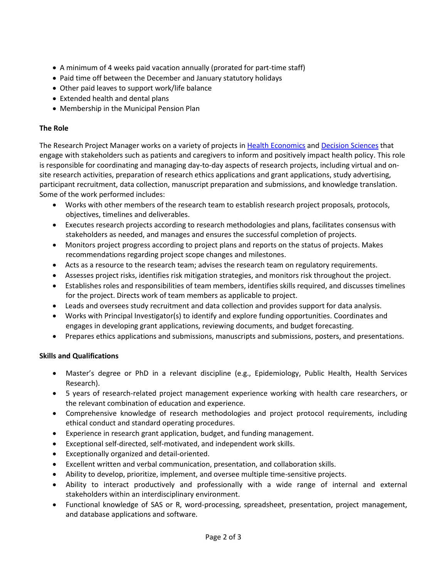- A minimum of 4 weeks paid vacation annually (prorated for part-time staff)
- Paid time off between the December and January statutory holidays
- Other paid leaves to support work/life balance
- Extended health and dental plans
- Membership in the Municipal Pension Plan

## **The Role**

The Research Project Manager works on a variety of projects i[n Health Economics](https://www.cheos.ubc.ca/programs/health-economics/) and [Decision](https://www.cheos.ubc.ca/programs/health-economics/) Sciences that engage with stakeholders such as patients and caregivers to inform and positively impact health policy. This role is responsible for coordinating and managing day-to-day aspects of research projects, including virtual and onsite research activities, preparation of research ethics applications and grant applications, study advertising, participant recruitment, data collection, manuscript preparation and submissions, and knowledge translation. Some of the work performed includes:

- Works with other members of the research team to establish research project proposals, protocols, objectives, timelines and deliverables.
- Executes research projects according to research methodologies and plans, facilitates consensus with stakeholders as needed, and manages and ensures the successful completion of projects.
- Monitors project progress according to project plans and reports on the status of projects. Makes recommendations regarding project scope changes and milestones.
- Acts as a resource to the research team; advises the research team on regulatory requirements.
- Assesses project risks, identifies risk mitigation strategies, and monitors risk throughout the project.
- Establishes roles and responsibilities of team members, identifies skills required, and discusses timelines for the project. Directs work of team members as applicable to project.
- Leads and oversees study recruitment and data collection and provides support for data analysis.
- Works with Principal Investigator(s) to identify and explore funding opportunities. Coordinates and engages in developing grant applications, reviewing documents, and budget forecasting.
- Prepares ethics applications and submissions, manuscripts and submissions, posters, and presentations.

# **Skills and Qualifications**

- Master's degree or PhD in a relevant discipline (e.g., Epidemiology, Public Health, Health Services Research).
- 5 years of research-related project management experience working with health care researchers, or the relevant combination of education and experience.
- Comprehensive knowledge of research methodologies and project protocol requirements, including ethical conduct and standard operating procedures.
- Experience in research grant application, budget, and funding management.
- Exceptional self-directed, self-motivated, and independent work skills.
- Exceptionally organized and detail-oriented.
- Excellent written and verbal communication, presentation, and collaboration skills.
- Ability to develop, prioritize, implement, and oversee multiple time-sensitive projects.
- Ability to interact productively and professionally with a wide range of internal and external stakeholders within an interdisciplinary environment.
- Functional knowledge of SAS or R, word-processing, spreadsheet, presentation, project management, and database applications and software.